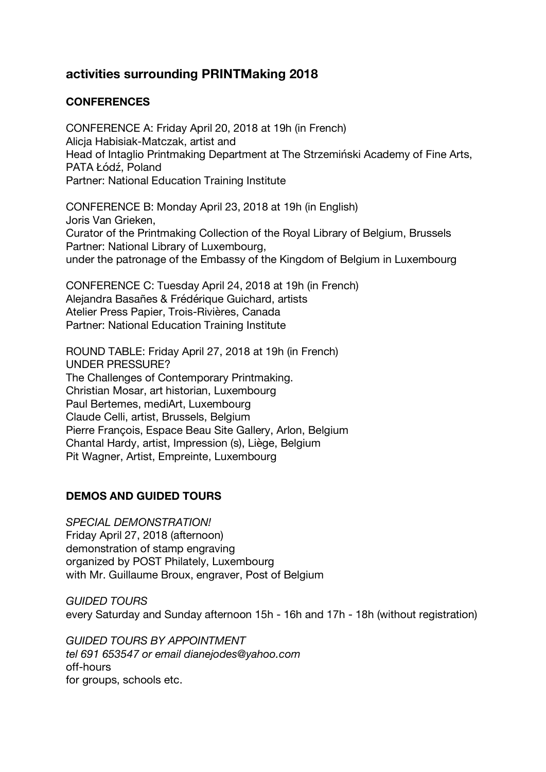# **activities surrounding PRINTMaking 2018**

# **CONFERENCES**

CONFERENCE A: Friday April 20, 2018 at 19h (in French) Alicja Habisiak-Matczak, artist and Head of Intaglio Printmaking Department at The Strzemiński Academy of Fine Arts, PATA Łódź, Poland Partner: National Education Training Institute

CONFERENCE B: Monday April 23, 2018 at 19h (in English) Joris Van Grieken, Curator of the Printmaking Collection of the Royal Library of Belgium, Brussels Partner: National Library of Luxembourg, under the patronage of the Embassy of the Kingdom of Belgium in Luxembourg

CONFERENCE C: Tuesday April 24, 2018 at 19h (in French) Alejandra Basañes & Frédérique Guichard, artists Atelier Press Papier, Trois-Rivières, Canada Partner: National Education Training Institute

ROUND TABLE: Friday April 27, 2018 at 19h (in French) UNDER PRESSURE? The Challenges of Contemporary Printmaking. Christian Mosar, art historian, Luxembourg Paul Bertemes, mediArt, Luxembourg Claude Celli, artist, Brussels, Belgium Pierre François, Espace Beau Site Gallery, Arlon, Belgium Chantal Hardy, artist, Impression (s), Liège, Belgium Pit Wagner, Artist, Empreinte, Luxembourg

# **DEMOS AND GUIDED TOURS**

*SPECIAL DEMONSTRATION!*  Friday April 27, 2018 (afternoon) demonstration of stamp engraving organized by POST Philately, Luxembourg with Mr. Guillaume Broux, engraver, Post of Belgium

*GUIDED TOURS* every Saturday and Sunday afternoon 15h - 16h and 17h - 18h (without registration)

*GUIDED TOURS BY APPOINTMENT tel 691 653547 or email dianejodes@yahoo.com* off-hours for groups, schools etc.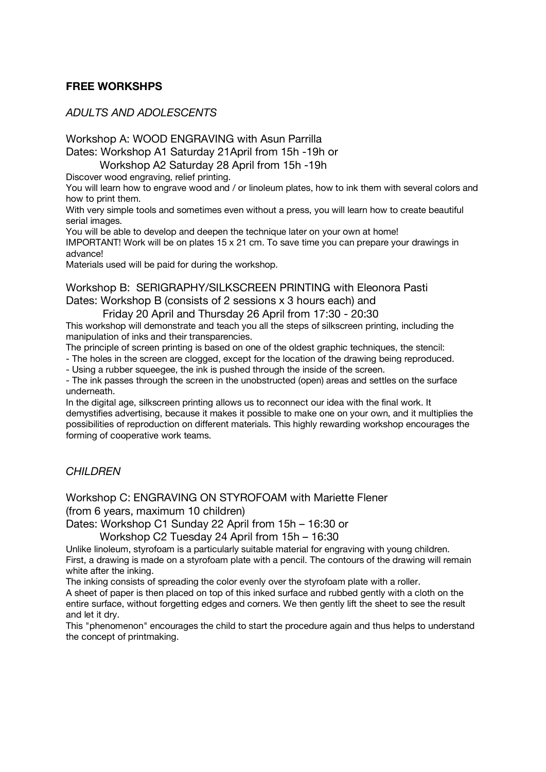### **FREE WORKSHPS**

#### *ADULTS AND ADOLESCENTS*

Workshop A: WOOD ENGRAVING with Asun Parrilla

Dates: Workshop A1 Saturday 21April from 15h -19h or

Workshop A2 Saturday 28 April from 15h -19h

Discover wood engraving, relief printing.

You will learn how to engrave wood and / or linoleum plates, how to ink them with several colors and how to print them.

With very simple tools and sometimes even without a press, you will learn how to create beautiful serial images.

You will be able to develop and deepen the technique later on your own at home! IMPORTANT! Work will be on plates 15 x 21 cm. To save time you can prepare your drawings in advance!

Materials used will be paid for during the workshop.

Workshop B: SERIGRAPHY/SILKSCREEN PRINTING with Eleonora Pasti Dates: Workshop B (consists of 2 sessions x 3 hours each) and

Friday 20 April and Thursday 26 April from 17:30 - 20:30

This workshop will demonstrate and teach you all the steps of silkscreen printing, including the manipulation of inks and their transparencies.

The principle of screen printing is based on one of the oldest graphic techniques, the stencil:

- The holes in the screen are clogged, except for the location of the drawing being reproduced.

- Using a rubber squeegee, the ink is pushed through the inside of the screen.

- The ink passes through the screen in the unobstructed (open) areas and settles on the surface underneath.

In the digital age, silkscreen printing allows us to reconnect our idea with the final work. It demystifies advertising, because it makes it possible to make one on your own, and it multiplies the possibilities of reproduction on different materials. This highly rewarding workshop encourages the forming of cooperative work teams.

#### *CHILDREN*

Workshop C: ENGRAVING ON STYROFOAM with Mariette Flener

(from 6 years, maximum 10 children)

Dates: Workshop C1 Sunday 22 April from 15h – 16:30 or

Workshop C2 Tuesday 24 April from 15h – 16:30

Unlike linoleum, styrofoam is a particularly suitable material for engraving with young children. First, a drawing is made on a styrofoam plate with a pencil. The contours of the drawing will remain white after the inking.

The inking consists of spreading the color evenly over the styrofoam plate with a roller.

A sheet of paper is then placed on top of this inked surface and rubbed gently with a cloth on the entire surface, without forgetting edges and corners. We then gently lift the sheet to see the result and let it dry.

This "phenomenon" encourages the child to start the procedure again and thus helps to understand the concept of printmaking.